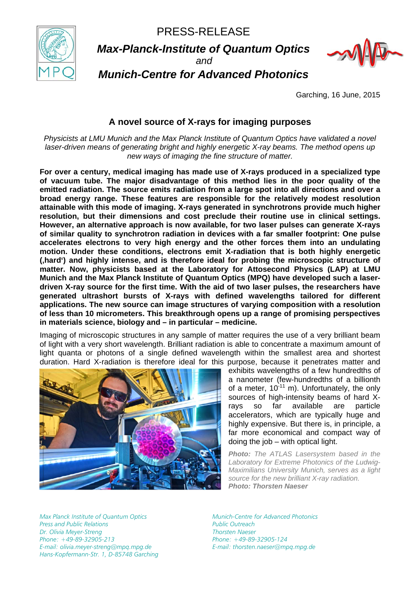PRESS-RELEASE



*Max-Planck-Institute of Quantum Optics*

*and* 



*Munich-Centre for Advanced Photonics*

Garching, 16 June, 2015

# **A novel source of X-rays for imaging purposes**

*Physicists at LMU Munich and the Max Planck Institute of Quantum Optics have validated a novel laser-driven means of generating bright and highly energetic X-ray beams. The method opens up new ways of imaging the fine structure of matter.* 

**For over a century, medical imaging has made use of X-rays produced in a specialized type of vacuum tube. The major disadvantage of this method lies in the poor quality of the emitted radiation. The source emits radiation from a large spot into all directions and over a broad energy range. These features are responsible for the relatively modest resolution attainable with this mode of imaging. X-rays generated in synchrotrons provide much higher resolution, but their dimensions and cost preclude their routine use in clinical settings. However, an alternative approach is now available, for two laser pulses can generate X-rays of similar quality to synchrotron radiation in devices with a far smaller footprint: One pulse accelerates electrons to very high energy and the other forces them into an undulating motion. Under these conditions, electrons emit X-radiation that is both highly energetic ('hard') and highly intense, and is therefore ideal for probing the microscopic structure of matter. Now, physicists based at the Laboratory for Attosecond Physics (LAP) at LMU Munich and the Max Planck Institute of Quantum Optics (MPQ) have developed such a laserdriven X-ray source for the first time. With the aid of two laser pulses, the researchers have generated ultrashort bursts of X-rays with defined wavelengths tailored for different applications. The new source can image structures of varying composition with a resolution of less than 10 micrometers. This breakthrough opens up a range of promising perspectives in materials science, biology and – in particular – medicine.** 

Imaging of microscopic structures in any sample of matter requires the use of a very brilliant beam of light with a very short wavelength. Brilliant radiation is able to concentrate a maximum amount of light quanta or photons of a single defined wavelength within the smallest area and shortest duration. Hard X-radiation is therefore ideal for this purpose, because it penetrates matter and



exhibits wavelengths of a few hundredths of a nanometer (few-hundredths of a billionth of a meter,  $10^{-11}$  m). Unfortunately, the only sources of high-intensity beams of hard Xrays so far available are particle accelerators, which are typically huge and highly expensive. But there is, in principle, a far more economical and compact way of doing the job – with optical light.

*Photo: The ATLAS Lasersystem based in the Laboratory for Extreme Photonics of the Ludwig-Maximilians University Munich, serves as a light source for the new brilliant X-ray radiation. Photo: Thorsten Naeser*

*Max Planck Institute of Quantum Optics Press and Public Relations Dr. Olivia Meyer-Streng Phone: +49-89-32905-213 E-mail: olivia.meyer-streng@mpq.mpg.de Hans-Kopfermann-Str. 1, D-85748 Garching*  *Munich-Centre for Advanced Photonics Public Outreach Thorsten Naeser Phone: +49-89-32905-124 E-mail: thorsten.naeser@mpq.mpg.de*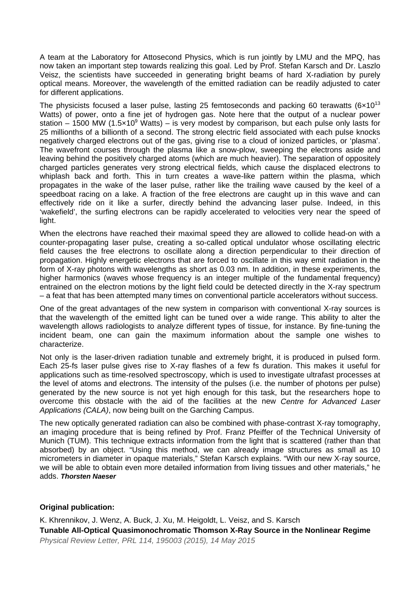A team at the Laboratory for Attosecond Physics, which is run jointly by LMU and the MPQ, has now taken an important step towards realizing this goal. Led by Prof. Stefan Karsch and Dr. Laszlo Veisz, the scientists have succeeded in generating bright beams of hard X-radiation by purely optical means. Moreover, the wavelength of the emitted radiation can be readily adjusted to cater for different applications.

The physicists focused a laser pulse, lasting 25 femtoseconds and packing 60 terawatts (6×10<sup>13</sup>) Watts) of power, onto a fine jet of hydrogen gas. Note here that the output of a nuclear power station – 1500 MW (1.5 $\times$ 10<sup>9</sup> Watts) – is very modest by comparison, but each pulse only lasts for 25 millionths of a billionth of a second. The strong electric field associated with each pulse knocks negatively charged electrons out of the gas, giving rise to a cloud of ionized particles, or 'plasma'. The wavefront courses through the plasma like a snow-plow, sweeping the electrons aside and leaving behind the positively charged atoms (which are much heavier). The separation of oppositely charged particles generates very strong electrical fields, which cause the displaced electrons to whiplash back and forth. This in turn creates a wave-like pattern within the plasma, which propagates in the wake of the laser pulse, rather like the trailing wave caused by the keel of a speedboat racing on a lake. A fraction of the free electrons are caught up in this wave and can effectively ride on it like a surfer, directly behind the advancing laser pulse. Indeed, in this 'wakefield', the surfing electrons can be rapidly accelerated to velocities very near the speed of light.

When the electrons have reached their maximal speed they are allowed to collide head-on with a counter-propagating laser pulse, creating a so-called optical undulator whose oscillating electric field causes the free electrons to oscillate along a direction perpendicular to their direction of propagation. Highly energetic electrons that are forced to oscillate in this way emit radiation in the form of X-ray photons with wavelengths as short as 0.03 nm. In addition, in these experiments, the higher harmonics (waves whose frequency is an integer multiple of the fundamental frequency) entrained on the electron motions by the light field could be detected directly in the X-ray spectrum – a feat that has been attempted many times on conventional particle accelerators without success.

One of the great advantages of the new system in comparison with conventional X-ray sources is that the wavelength of the emitted light can be tuned over a wide range. This ability to alter the wavelength allows radiologists to analyze different types of tissue, for instance. By fine-tuning the incident beam, one can gain the maximum information about the sample one wishes to characterize.

Not only is the laser-driven radiation tunable and extremely bright, it is produced in pulsed form. Each 25-fs laser pulse gives rise to X-ray flashes of a few fs duration. This makes it useful for applications such as time-resolved spectroscopy, which is used to investigate ultrafast processes at the level of atoms and electrons. The intensity of the pulses (i.e. the number of photons per pulse) generated by the new source is not yet high enough for this task, but the researchers hope to overcome this obstacle with the aid of the facilities at the new *Centre for Advanced Laser Applications (CALA)*, now being built on the Garching Campus.

The new optically generated radiation can also be combined with phase-contrast X-ray tomography, an imaging procedure that is being refined by Prof. Franz Pfeiffer of the Technical University of Munich (TUM). This technique extracts information from the light that is scattered (rather than that absorbed) by an object. "Using this method, we can already image structures as small as 10 micrometers in diameter in opaque materials," Stefan Karsch explains. "With our new X-ray source, we will be able to obtain even more detailed information from living tissues and other materials," he adds. *Thorsten Naeser*

### **Original publication:**

K. Khrennikov, J. Wenz, A. Buck, J. Xu, M. Heigoldt, L. Veisz, and S. Karsch **Tunable All-Optical Quasimonochromatic Thomson X-Ray Source in the Nonlinear Regime**  *Physical Review Letter, PRL 114, 195003 (2015), 14 May 2015*